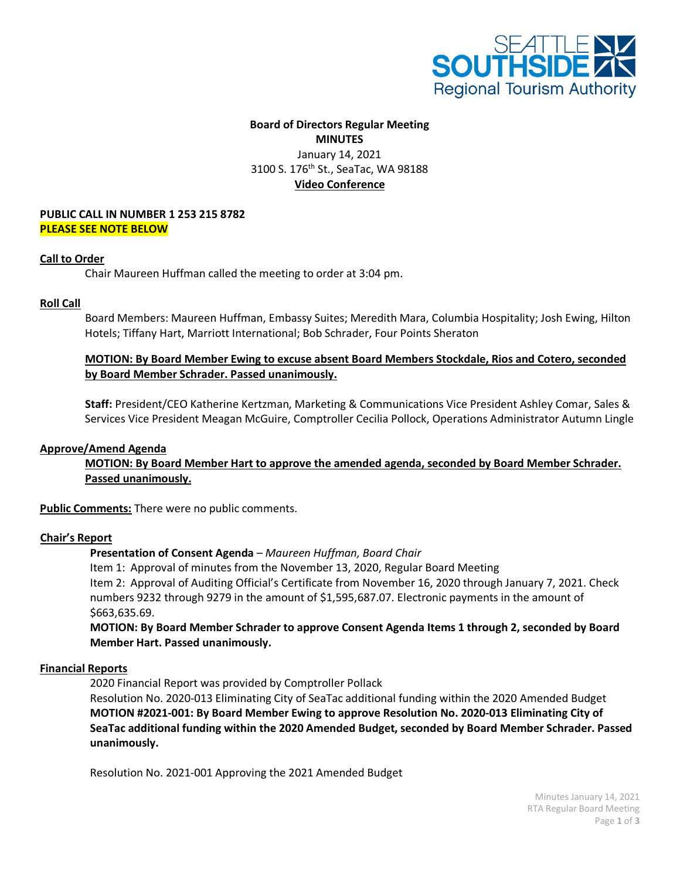

# **Board of Directors Regular Meeting MINUTES** January 14, 2021 3100 S. 176<sup>th</sup> St., SeaTac, WA 98188 **Video Conference**

#### **PUBLIC CALL IN NUMBER 1 253 215 8782 PLEASE SEE NOTE BELOW**

#### **Call to Order**

Chair Maureen Huffman called the meeting to order at 3:04 pm.

#### **Roll Call**

Board Members: Maureen Huffman, Embassy Suites; Meredith Mara, Columbia Hospitality; Josh Ewing, Hilton Hotels; Tiffany Hart, Marriott International; Bob Schrader, Four Points Sheraton

# **MOTION: By Board Member Ewing to excuse absent Board Members Stockdale, Rios and Cotero, seconded by Board Member Schrader. Passed unanimously.**

**Staff:** President/CEO Katherine Kertzman, Marketing & Communications Vice President Ashley Comar, Sales & Services Vice President Meagan McGuire, Comptroller Cecilia Pollock, Operations Administrator Autumn Lingle

## **Approve/Amend Agenda**

**MOTION: By Board Member Hart to approve the amended agenda, seconded by Board Member Schrader. Passed unanimously.**

**Public Comments:** There were no public comments.

## **Chair's Report**

## **Presentation of Consent Agenda** *– Maureen Huffman, Board Chair*

Item 1: Approval of minutes from the November 13, 2020, Regular Board Meeting Item 2: Approval of Auditing Official's Certificate from November 16, 2020 through January 7, 2021. Check numbers 9232 through 9279 in the amount of \$1,595,687.07. Electronic payments in the amount of \$663,635.69.

**MOTION: By Board Member Schrader to approve Consent Agenda Items 1 through 2, seconded by Board Member Hart. Passed unanimously.**

## **Financial Reports**

2020 Financial Report was provided by Comptroller Pollack

Resolution No. 2020-013 Eliminating City of SeaTac additional funding within the 2020 Amended Budget **MOTION #2021-001: By Board Member Ewing to approve Resolution No. 2020-013 Eliminating City of SeaTac additional funding within the 2020 Amended Budget, seconded by Board Member Schrader. Passed unanimously.**

Resolution No. 2021-001 Approving the 2021 Amended Budget

Minutes January 14, 2021 RTA Regular Board Meeting Page **1** of **3**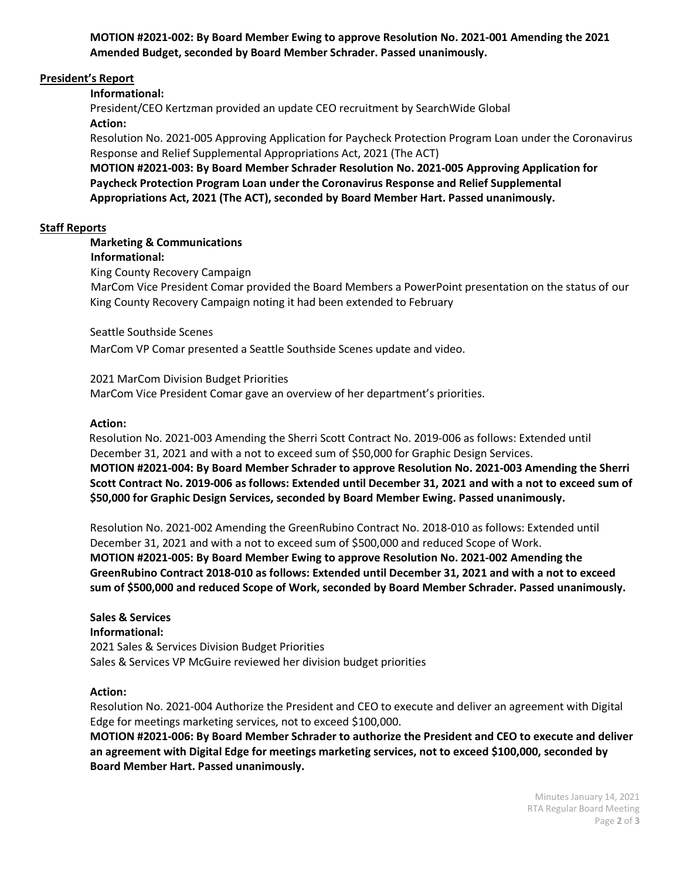**MOTION #2021-002: By Board Member Ewing to approve Resolution No. 2021-001 Amending the 2021 Amended Budget, seconded by Board Member Schrader. Passed unanimously.**

## **President's Report**

## **Informational:**

President/CEO Kertzman provided an update CEO recruitment by SearchWide Global **Action:**

Resolution No. 2021-005 Approving Application for Paycheck Protection Program Loan under the Coronavirus Response and Relief Supplemental Appropriations Act, 2021 (The ACT)

**MOTION #2021-003: By Board Member Schrader Resolution No. 2021-005 Approving Application for Paycheck Protection Program Loan under the Coronavirus Response and Relief Supplemental Appropriations Act, 2021 (The ACT), seconded by Board Member Hart. Passed unanimously.**

## **Staff Reports**

# **Marketing & Communications**

## **Informational:**

King County Recovery Campaign

 MarCom Vice President Comar provided the Board Members a PowerPoint presentation on the status of our King County Recovery Campaign noting it had been extended to February

## Seattle Southside Scenes

MarCom VP Comar presented a Seattle Southside Scenes update and video.

#### 2021 MarCom Division Budget Priorities

MarCom Vice President Comar gave an overview of her department's priorities.

## **Action:**

 Resolution No. 2021-003 Amending the Sherri Scott Contract No. 2019-006 as follows: Extended until December 31, 2021 and with a not to exceed sum of \$50,000 for Graphic Design Services. **MOTION #2021-004: By Board Member Schrader to approve Resolution No. 2021-003 Amending the Sherri Scott Contract No. 2019-006 as follows: Extended until December 31, 2021 and with a not to exceed sum of \$50,000 for Graphic Design Services, seconded by Board Member Ewing. Passed unanimously.** 

Resolution No. 2021-002 Amending the GreenRubino Contract No. 2018-010 as follows: Extended until December 31, 2021 and with a not to exceed sum of \$500,000 and reduced Scope of Work. **MOTION #2021-005: By Board Member Ewing to approve Resolution No. 2021-002 Amending the GreenRubino Contract 2018-010 as follows: Extended until December 31, 2021 and with a not to exceed sum of \$500,000 and reduced Scope of Work, seconded by Board Member Schrader. Passed unanimously.** 

#### **Sales & Services Informational:**

2021 Sales & Services Division Budget Priorities Sales & Services VP McGuire reviewed her division budget priorities

## **Action:**

Resolution No. 2021-004 Authorize the President and CEO to execute and deliver an agreement with Digital Edge for meetings marketing services, not to exceed \$100,000.

**MOTION #2021-006: By Board Member Schrader to authorize the President and CEO to execute and deliver an agreement with Digital Edge for meetings marketing services, not to exceed \$100,000, seconded by Board Member Hart. Passed unanimously.**

> Minutes January 14, 2021 RTA Regular Board Meeting Page **2** of **3**